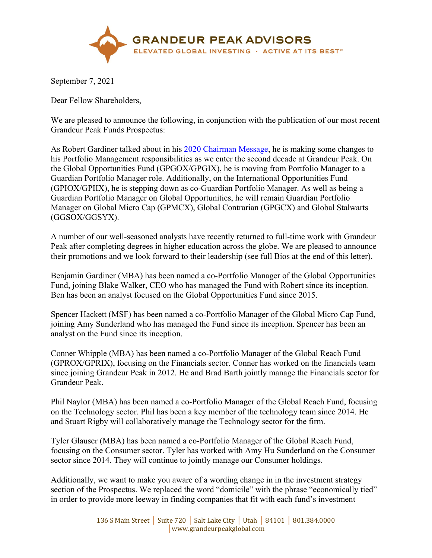

September 7, 2021

Dear Fellow Shareholders,

We are pleased to announce the following, in conjunction with the publication of our most recent Grandeur Peak Funds Prospectus:

As Robert Gardiner talked about in his [2020 Chairman Message,](https://www.grandeurpeakglobal.com/documents/grandeurpeakglobal-is-20210104.pdf) he is making some changes to his Portfolio Management responsibilities as we enter the second decade at Grandeur Peak. On the Global Opportunities Fund (GPGOX/GPGIX), he is moving from Portfolio Manager to a Guardian Portfolio Manager role. Additionally, on the International Opportunities Fund (GPIOX/GPIIX), he is stepping down as co-Guardian Portfolio Manager. As well as being a Guardian Portfolio Manager on Global Opportunities, he will remain Guardian Portfolio Manager on Global Micro Cap (GPMCX), Global Contrarian (GPGCX) and Global Stalwarts (GGSOX/GGSYX).

A number of our well-seasoned analysts have recently returned to full-time work with Grandeur Peak after completing degrees in higher education across the globe. We are pleased to announce their promotions and we look forward to their leadership (see full Bios at the end of this letter).

Benjamin Gardiner (MBA) has been named a co-Portfolio Manager of the Global Opportunities Fund, joining Blake Walker, CEO who has managed the Fund with Robert since its inception. Ben has been an analyst focused on the Global Opportunities Fund since 2015.

Spencer Hackett (MSF) has been named a co-Portfolio Manager of the Global Micro Cap Fund, joining Amy Sunderland who has managed the Fund since its inception. Spencer has been an analyst on the Fund since its inception.

Conner Whipple (MBA) has been named a co-Portfolio Manager of the Global Reach Fund (GPROX/GPRIX), focusing on the Financials sector. Conner has worked on the financials team since joining Grandeur Peak in 2012. He and Brad Barth jointly manage the Financials sector for Grandeur Peak.

Phil Naylor (MBA) has been named a co-Portfolio Manager of the Global Reach Fund, focusing on the Technology sector. Phil has been a key member of the technology team since 2014. He and Stuart Rigby will collaboratively manage the Technology sector for the firm.

Tyler Glauser (MBA) has been named a co-Portfolio Manager of the Global Reach Fund, focusing on the Consumer sector. Tyler has worked with Amy Hu Sunderland on the Consumer sector since 2014. They will continue to jointly manage our Consumer holdings.

Additionally, we want to make you aware of a wording change in in the investment strategy section of the Prospectus. We replaced the word "domicile" with the phrase "economically tied" in order to provide more leeway in finding companies that fit with each fund's investment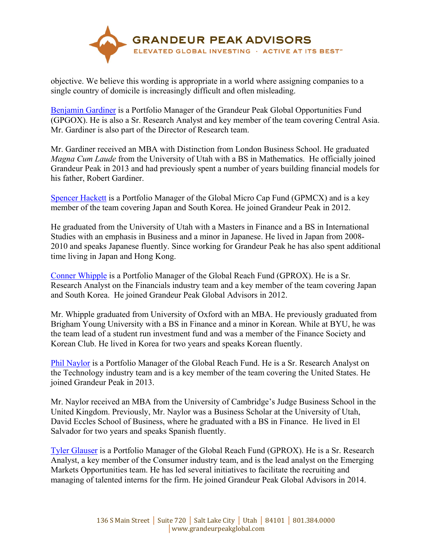

objective. We believe this wording is appropriate in a world where assigning companies to a single country of domicile is increasingly difficult and often misleading.

[Benjamin Gardiner](https://www.grandeurpeakglobal.com/our-firm) is a Portfolio Manager of the Grandeur Peak Global Opportunities Fund (GPGOX). He is also a Sr. Research Analyst and key member of the team covering Central Asia. Mr. Gardiner is also part of the Director of Research team.

Mr. Gardiner received an MBA with Distinction from London Business School. He graduated *Magna Cum Laude* from the University of Utah with a BS in Mathematics. He officially joined Grandeur Peak in 2013 and had previously spent a number of years building financial models for his father, Robert Gardiner.

[Spencer Hackett](https://www.grandeurpeakglobal.com/our-firm) is a Portfolio Manager of the Global Micro Cap Fund (GPMCX) and is a key member of the team covering Japan and South Korea. He joined Grandeur Peak in 2012.

He graduated from the University of Utah with a Masters in Finance and a BS in International Studies with an emphasis in Business and a minor in Japanese. He lived in Japan from 2008- 2010 and speaks Japanese fluently. Since working for Grandeur Peak he has also spent additional time living in Japan and Hong Kong.

[Conner Whipple](https://www.grandeurpeakglobal.com/our-firm) is a Portfolio Manager of the Global Reach Fund (GPROX). He is a Sr. Research Analyst on the Financials industry team and a key member of the team covering Japan and South Korea. He joined Grandeur Peak Global Advisors in 2012.

Mr. Whipple graduated from University of Oxford with an MBA. He previously graduated from Brigham Young University with a BS in Finance and a minor in Korean. While at BYU, he was the team lead of a student run investment fund and was a member of the Finance Society and Korean Club. He lived in Korea for two years and speaks Korean fluently.

[Phil Naylor](https://www.grandeurpeakglobal.com/our-firm) is a Portfolio Manager of the Global Reach Fund. He is a Sr. Research Analyst on the Technology industry team and is a key member of the team covering the United States. He joined Grandeur Peak in 2013.

Mr. Naylor received an MBA from the University of Cambridge's Judge Business School in the United Kingdom. Previously, Mr. Naylor was a Business Scholar at the University of Utah, David Eccles School of Business, where he graduated with a BS in Finance. He lived in El Salvador for two years and speaks Spanish fluently.

[Tyler Glauser i](https://www.grandeurpeakglobal.com/our-firm)s a Portfolio Manager of the Global Reach Fund (GPROX). He is a Sr. Research Analyst, a key member of the Consumer industry team, and is the lead analyst on the Emerging Markets Opportunities team. He has led several initiatives to facilitate the recruiting and managing of talented interns for the firm. He joined Grandeur Peak Global Advisors in 2014.